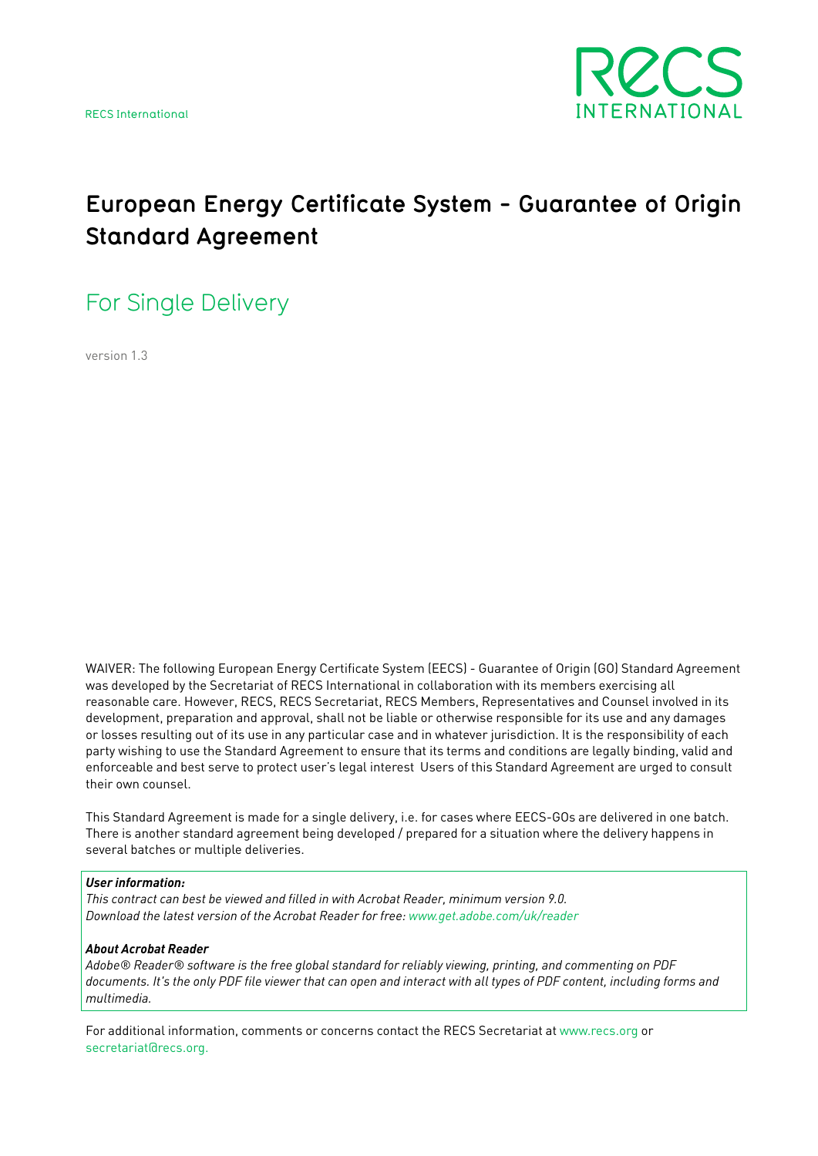

# **European Energy Certificate System - Guarantee of Origin Standard Agreement**

For Single Delivery

version 1.3

WAIVER: The following European Energy Certificate System (EECS) - Guarantee of Origin (GO) Standard Agreement was developed by the Secretariat of RECS International in collaboration with its members exercising all reasonable care. However, RECS, RECS Secretariat, RECS Members, Representatives and Counsel involved in its development, preparation and approval, shall not be liable or otherwise responsible for its use and any damages or losses resulting out of its use in any particular case and in whatever jurisdiction. It is the responsibility of each party wishing to use the Standard Agreement to ensure that its terms and conditions are legally binding, valid and enforceable and best serve to protect user's legal interest Users of this Standard Agreement are urged to consult their own counsel.

This Standard Agreement is made for a single delivery, i.e. for cases where EECS-GOs are delivered in one batch. There is another standard agreement being developed / prepared for a situation where the delivery happens in several batches or multiple deliveries.

#### *User information:*

*This contract can best be viewed and filled in with Acrobat Reader, minimum version 9.0. Download the latest version of the Acrobat Reader for fre[e: www.get.adobe.com/uk/reader](http://get.adobe.com/uk/reader)*

#### *About Acrobat Reader*

*Adobe® Reader® software is the free global standard for reliably viewing, printing, and commenting on PDF*  documents. It's the only PDF file viewer that can open and interact with all types of PDF content, including forms and *multimedia.*

For additional information, comments or concerns contact the RECS Secretariat at [www.recs.org](http://www.recs.org) or [secretariat@recs.org](mailto:secretariat@recs.org).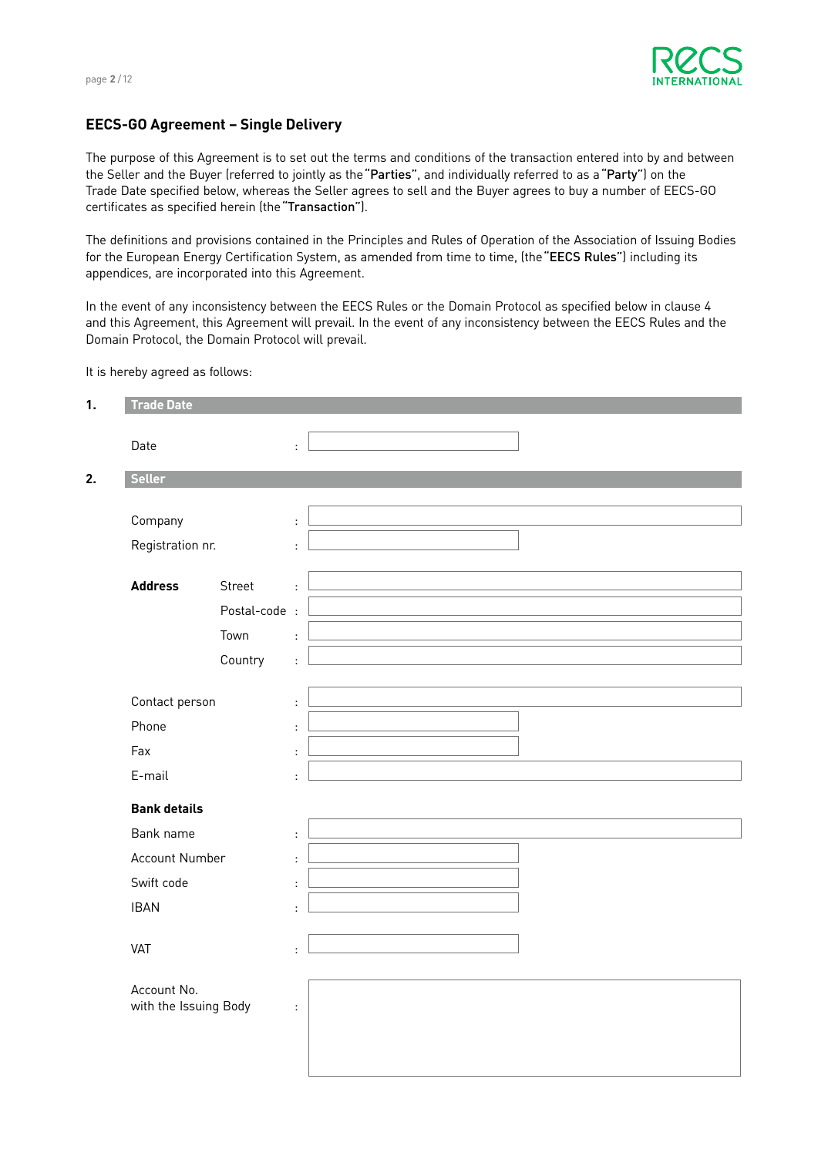

# **EECS-GO Agreement – Single Delivery**

The purpose of this Agreement is to set out the terms and conditions of the transaction entered into by and between the Seller and the Buyer (referred to jointly as the"Parties", and individually referred to as a"Party") on the Trade Date specified below, whereas the Seller agrees to sell and the Buyer agrees to buy a number of EECS-GO certificates as specified herein (the"Transaction").

The definitions and provisions contained in the Principles and Rules of Operation of the Association of Issuing Bodies for the European Energy Certification System, as amended from time to time, (the"EECS Rules") including its appendices, are incorporated into this Agreement.

In the event of any inconsistency between the EECS Rules or the Domain Protocol as specified below in clause 4 and this Agreement, this Agreement will prevail. In the event of any inconsistency between the EECS Rules and the Domain Protocol, the Domain Protocol will prevail.

It is hereby agreed as follows:

| <b>Trade Date</b>                    |               |                      |
|--------------------------------------|---------------|----------------------|
| Date                                 |               | ÷                    |
| <b>Seller</b>                        |               |                      |
|                                      |               |                      |
| Company                              |               | ÷                    |
| Registration nr.                     |               | ÷                    |
|                                      |               |                      |
| <b>Address</b>                       | Street        | ÷                    |
|                                      | Postal-code : |                      |
|                                      | Town          | $\mathbf{r}$         |
|                                      | Country       | $\mathcal{L}^{\pm}$  |
| Contact person                       |               |                      |
|                                      |               | ÷                    |
| Phone                                |               | ÷                    |
| Fax                                  |               | ÷                    |
| E-mail                               |               | $\ddot{\phantom{a}}$ |
| <b>Bank details</b>                  |               |                      |
| Bank name                            |               | ÷                    |
| Account Number                       |               | $\ddot{\phantom{a}}$ |
| Swift code                           |               | ÷                    |
| <b>IBAN</b>                          |               | ÷                    |
|                                      |               |                      |
| VAT                                  |               | ÷                    |
|                                      |               |                      |
| Account No.<br>with the Issuing Body |               | $\ddot{\phantom{a}}$ |
|                                      |               |                      |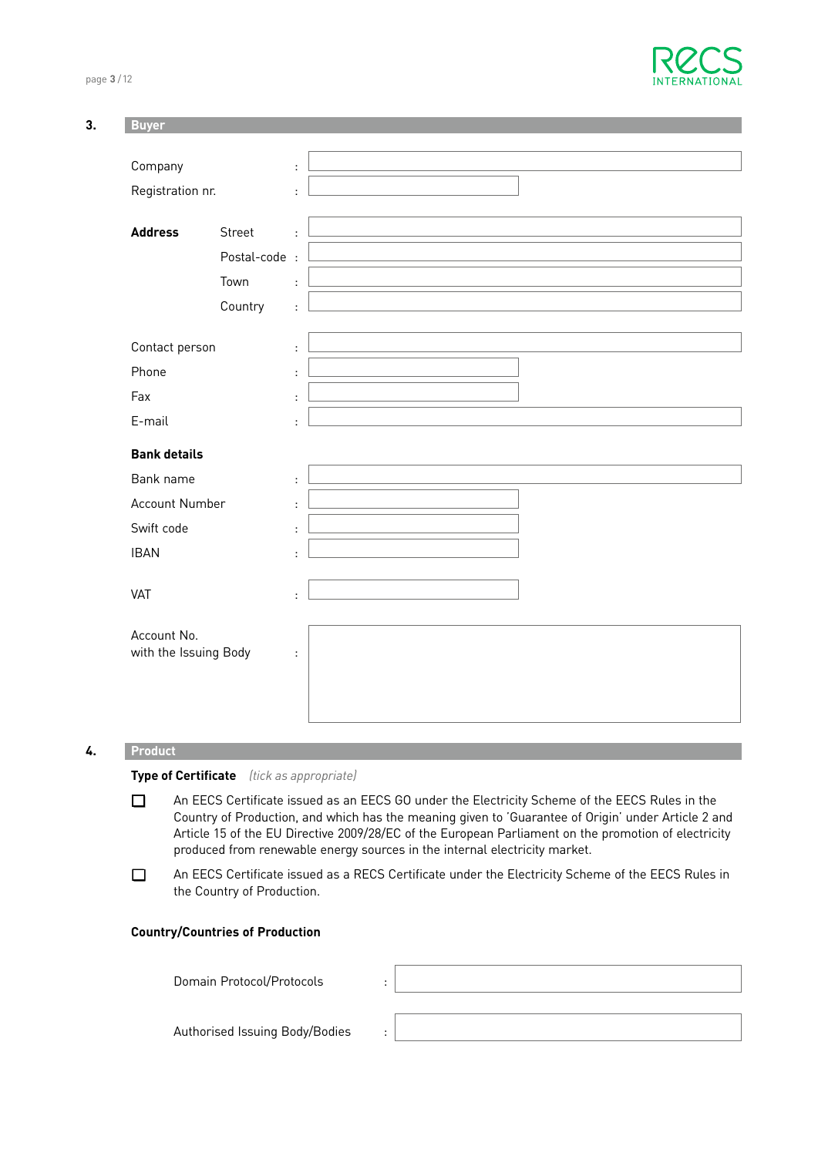page **3** / 12



| 3. | <b>Buyer</b>          |               |                      |  |
|----|-----------------------|---------------|----------------------|--|
|    |                       |               |                      |  |
|    | Company               |               | ÷                    |  |
|    | Registration nr.      |               | ÷                    |  |
|    |                       |               |                      |  |
|    | <b>Address</b>        | Street        | ÷                    |  |
|    |                       | Postal-code : |                      |  |
|    |                       | Town          | ÷                    |  |
|    |                       | Country       | ÷.                   |  |
|    |                       |               |                      |  |
|    | Contact person        |               | ÷                    |  |
|    | Phone                 |               | ÷                    |  |
|    | Fax                   |               | ÷                    |  |
|    | E-mail                |               | ÷                    |  |
|    | <b>Bank details</b>   |               |                      |  |
|    | Bank name             |               | ÷                    |  |
|    | Account Number        |               | ÷                    |  |
|    | Swift code            |               | ÷                    |  |
|    | <b>IBAN</b>           |               | ÷                    |  |
|    |                       |               |                      |  |
|    | VAT                   |               | ÷                    |  |
|    | Account No.           |               |                      |  |
|    | with the Issuing Body |               | $\ddot{\phantom{a}}$ |  |
|    |                       |               |                      |  |
|    |                       |               |                      |  |
|    |                       |               |                      |  |

# **4.. Product**

# **Type of Certificate** *(tick as appropriate)*

- An EECS Certificate issued as an EECS GO under the Electricity Scheme of the EECS Rules in the Country of Production, and which has the meaning given to 'Guarantee of Origin' under Article 2 and Article 15 of the EU Directive 2009/28/EC of the European Parliament on the promotion of electricity produced from renewable energy sources in the internal electricity market.
- □ An EECS Certificate issued as a RECS Certificate under the Electricity Scheme of the EECS Rules in the Country of Production.

# **Country/Countries of Production**

| Domain Protocol/Protocols      | $\blacksquare$ |  |
|--------------------------------|----------------|--|
| Authorised Issuing Body/Bodies | $\cdot$        |  |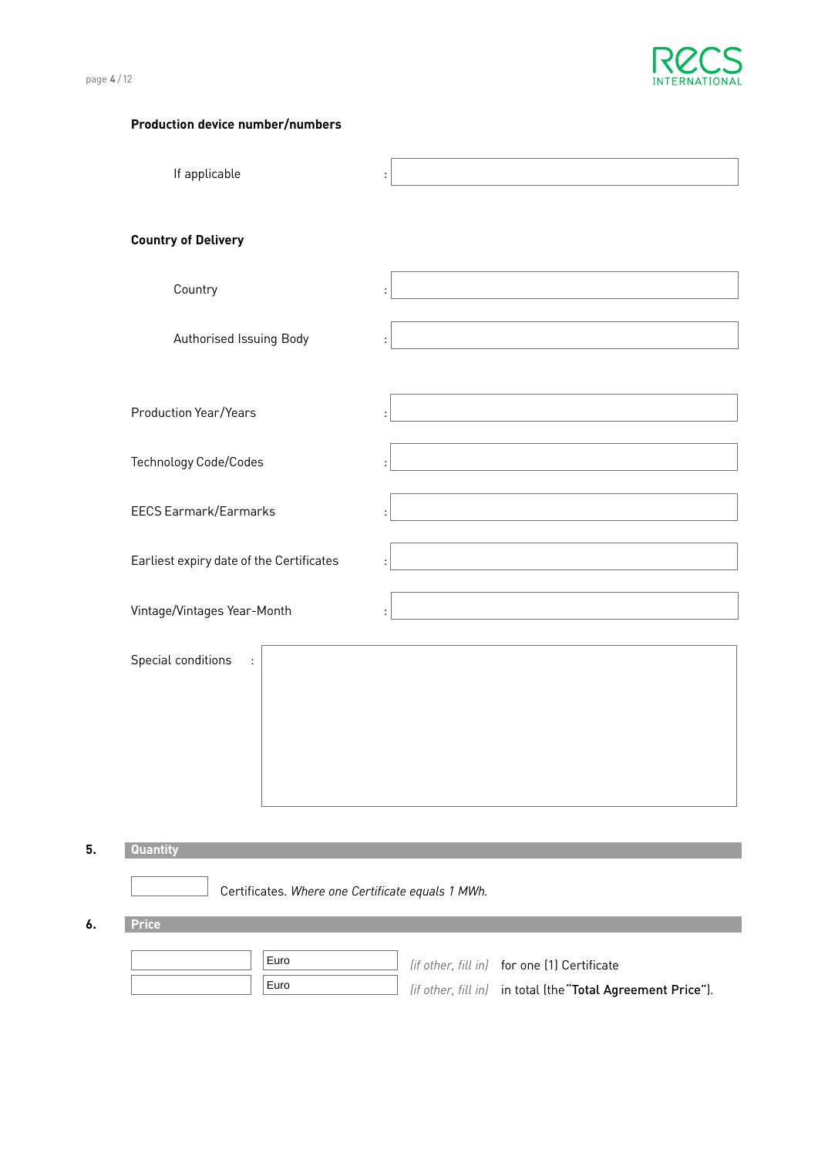

|--|--|--|--|--|

| <b>Production device number/numbers</b>    |                |
|--------------------------------------------|----------------|
| If applicable                              | $\ddot{\cdot}$ |
| <b>Country of Delivery</b>                 |                |
| Country                                    |                |
| Authorised Issuing Body                    |                |
| <b>Production Year/Years</b>               |                |
| Technology Code/Codes                      |                |
| <b>EECS Earmark/Earmarks</b>               |                |
| Earliest expiry date of the Certificates   |                |
| Vintage/Vintages Year-Month                | $\ddot{\cdot}$ |
| Special conditions<br>$\ddot{\phantom{a}}$ |                |
| Quantity                                   |                |

Certificates. *Where one Certificate equals 1 MWh.*

**6. Price**

**5. Quantity**

| Euro | (if other, fill in) for one (1) Certificate                 |
|------|-------------------------------------------------------------|
| Euro | (if other, fill in) in total (the "Total Agreement Price"). |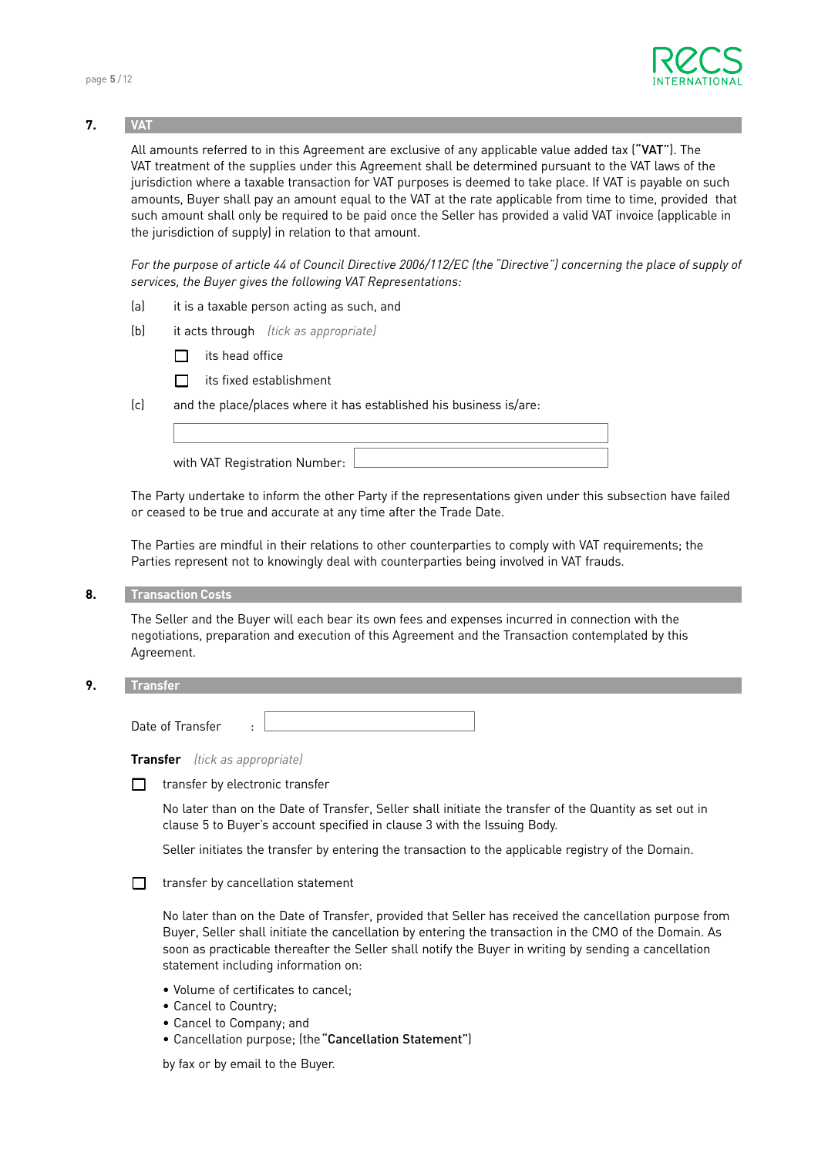

# **7. VAT**

All amounts referred to in this Agreement are exclusive of any applicable value added tax ("VAT"). The VAT treatment of the supplies under this Agreement shall be determined pursuant to the VAT laws of the jurisdiction where a taxable transaction for VAT purposes is deemed to take place. If VAT is payable on such amounts, Buyer shall pay an amount equal to the VAT at the rate applicable from time to time, provided that such amount shall only be required to be paid once the Seller has provided a valid VAT invoice (applicable in the jurisdiction of supply) in relation to that amount.

For the purpose of article 44 of Council Directive 2006/112/EC (the "Directive") concerning the place of supply of *services, the Buyer gives the following VAT Representations:*

- (a) it is a taxable person acting as such, and
- (b) it acts through *(tick as appropriate)*
	- **q** its head office
	- $\Box$  its fixed establishment

(c) and the place/places where it has established his business is/are:

| with VAT Registration Number: |  |
|-------------------------------|--|

 The Party undertake to inform the other Party if the representations given under this subsection have failed or ceased to be true and accurate at any time after the Trade Date.

 The Parties are mindful in their relations to other counterparties to comply with VAT requirements; the Parties represent not to knowingly deal with counterparties being involved in VAT frauds.

**8. Transaction Costs**

 The Seller and the Buyer will each bear its own fees and expenses incurred in connection with the negotiations, preparation and execution of this Agreement and the Transaction contemplated by this Agreement.

**9. Transfer**

Date of Transfer :

| Transfer |  |  |  | (tick as appropriate) |
|----------|--|--|--|-----------------------|
|----------|--|--|--|-----------------------|

 $\Box$  transfer by electronic transfer

 No later than on the Date of Transfer, Seller shall initiate the transfer of the Quantity as set out in clause 5 to Buyer's account specified in clause 3 with the Issuing Body.

Seller initiates the transfer by entering the transaction to the applicable registry of the Domain.

 $\Box$  transfer by cancellation statement

 No later than on the Date of Transfer, provided that Seller has received the cancellation purpose from Buyer, Seller shall initiate the cancellation by entering the transaction in the CMO of the Domain. As soon as practicable thereafter the Seller shall notify the Buyer in writing by sending a cancellation statement including information on:

- Volume of certificates to cancel;
- Cancel to Country;
- Cancel to Company; and
- Cancellation purpose; (the"Cancellation Statement")

by fax or by email to the Buyer.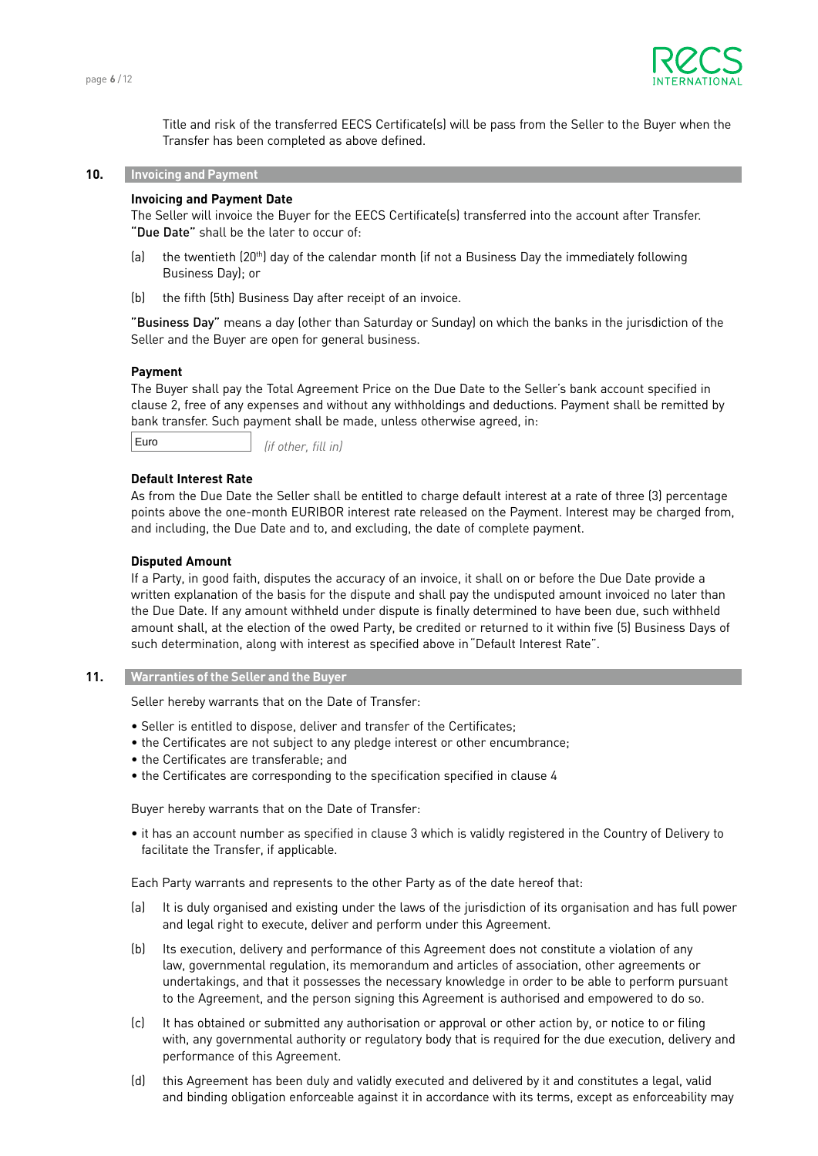

 Title and risk of the transferred EECS Certificate(s) will be pass from the Seller to the Buyer when the Transfer has been completed as above defined.

## **10. Invoicing and Payment**

# **Invoicing and Payment Date**

 The Seller will invoice the Buyer for the EECS Certificate(s) transferred into the account after Transfer. "Due Date" shall be the later to occur of:

- (a) the twentieth (20<sup>th</sup>) day of the calendar month (if not a Business Day the immediately following Business Day); or
- (b) the fifth (5th) Business Day after receipt of an invoice.

"Business Day" means a day (other than Saturday or Sunday) on which the banks in the jurisdiction of the Seller and the Buyer are open for general business.

#### **Payment**

 The Buyer shall pay the Total Agreement Price on the Due Date to the Seller's bank account specified in clause 2, free of any expenses and without any withholdings and deductions. Payment shall be remitted by bank transfer. Such payment shall be made, unless otherwise agreed, in:

Euro

*(if other, fill in)*

# **Default Interest Rate**

 As from the Due Date the Seller shall be entitled to charge default interest at a rate of three (3) percentage points above the one-month EURIBOR interest rate released on the Payment. Interest may be charged from, and including, the Due Date and to, and excluding, the date of complete payment.

#### **Disputed Amount**

 If a Party, in good faith, disputes the accuracy of an invoice, it shall on or before the Due Date provide a written explanation of the basis for the dispute and shall pay the undisputed amount invoiced no later than the Due Date. If any amount withheld under dispute is finally determined to have been due, such withheld amount shall, at the election of the owed Party, be credited or returned to it within five (5) Business Days of such determination, along with interest as specified above in"Default Interest Rate".

# **11. Warranties of the Seller and the Buyer**

Seller hereby warrants that on the Date of Transfer:

- Seller is entitled to dispose, deliver and transfer of the Certificates;
- the Certificates are not subject to any pledge interest or other encumbrance;
- the Certificates are transferable; and
- the Certificates are corresponding to the specification specified in clause 4

Buyer hereby warrants that on the Date of Transfer:

• it has an account number as specified in clause 3 which is validly registered in the Country of Delivery to facilitate the Transfer, if applicable.

Each Party warrants and represents to the other Party as of the date hereof that:

- (a) It is duly organised and existing under the laws of the jurisdiction of its organisation and has full power and legal right to execute, deliver and perform under this Agreement.
- (b) Its execution, delivery and performance of this Agreement does not constitute a violation of any law, governmental regulation, its memorandum and articles of association, other agreements or undertakings, and that it possesses the necessary knowledge in order to be able to perform pursuant to the Agreement, and the person signing this Agreement is authorised and empowered to do so.
- (c) It has obtained or submitted any authorisation or approval or other action by, or notice to or filing with, any governmental authority or regulatory body that is required for the due execution, delivery and performance of this Agreement.
- (d) this Agreement has been duly and validly executed and delivered by it and constitutes a legal, valid and binding obligation enforceable against it in accordance with its terms, except as enforceability may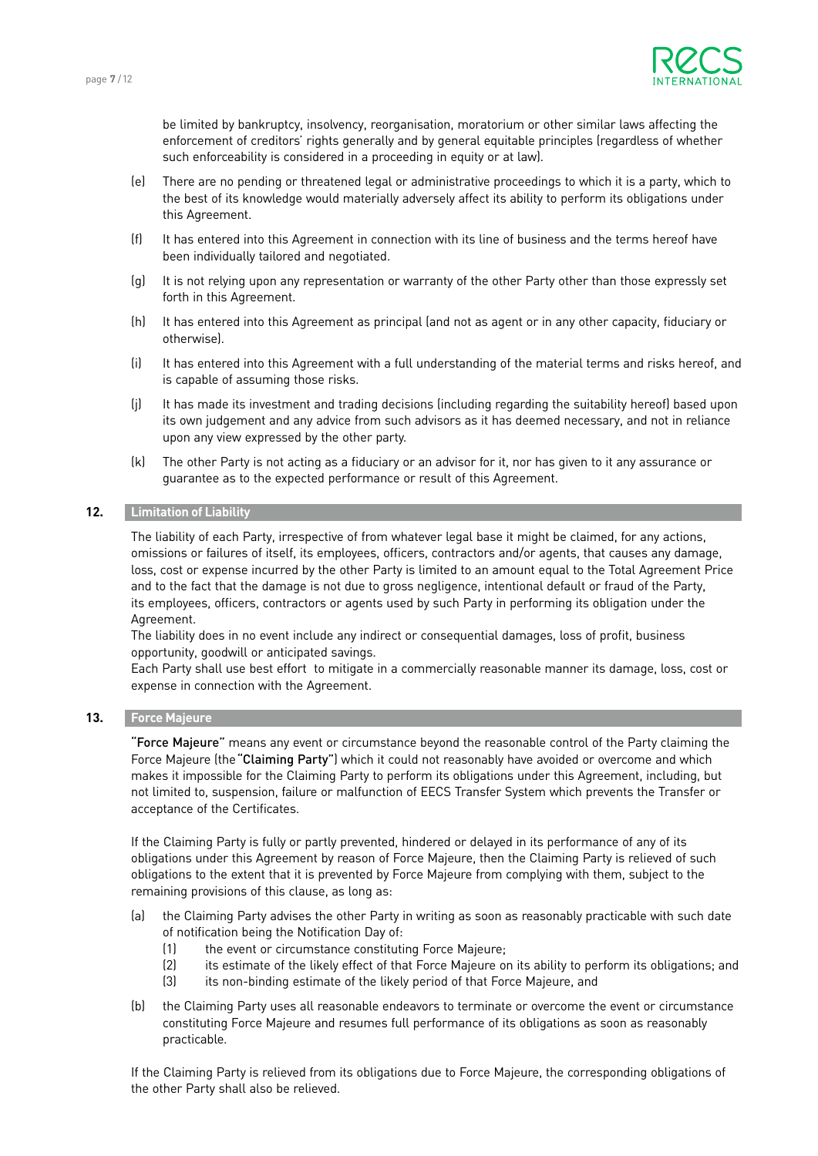

be limited by bankruptcy, insolvency, reorganisation, moratorium or other similar laws affecting the enforcement of creditors' rights generally and by general equitable principles (regardless of whether such enforceability is considered in a proceeding in equity or at law).

- (e) There are no pending or threatened legal or administrative proceedings to which it is a party, which to the best of its knowledge would materially adversely affect its ability to perform its obligations under this Agreement.
- (f) It has entered into this Agreement in connection with its line of business and the terms hereof have been individually tailored and negotiated.
- (g) It is not relying upon any representation or warranty of the other Party other than those expressly set forth in this Agreement.
- (h) It has entered into this Agreement as principal (and not as agent or in any other capacity, fiduciary or otherwise).
- (i) It has entered into this Agreement with a full understanding of the material terms and risks hereof, and is capable of assuming those risks.
- (j) It has made its investment and trading decisions (including regarding the suitability hereof) based upon its own judgement and any advice from such advisors as it has deemed necessary, and not in reliance upon any view expressed by the other party.
- (k) The other Party is not acting as a fiduciary or an advisor for it, nor has given to it any assurance or guarantee as to the expected performance or result of this Agreement.

# **12. Limitation of Liability**

 The liability of each Party, irrespective of from whatever legal base it might be claimed, for any actions, omissions or failures of itself, its employees, officers, contractors and/or agents, that causes any damage, loss, cost or expense incurred by the other Party is limited to an amount equal to the Total Agreement Price and to the fact that the damage is not due to gross negligence, intentional default or fraud of the Party, its employees, officers, contractors or agents used by such Party in performing its obligation under the Agreement.

 The liability does in no event include any indirect or consequential damages, loss of profit, business opportunity, goodwill or anticipated savings.

 Each Party shall use best effort to mitigate in a commercially reasonable manner its damage, loss, cost or expense in connection with the Agreement.

# **13. Force Majeure**

"Force Majeure" means any event or circumstance beyond the reasonable control of the Party claiming the Force Majeure (the "Claiming Party") which it could not reasonably have avoided or overcome and which makes it impossible for the Claiming Party to perform its obligations under this Agreement, including, but not limited to, suspension, failure or malfunction of EECS Transfer System which prevents the Transfer or acceptance of the Certificates.

 If the Claiming Party is fully or partly prevented, hindered or delayed in its performance of any of its obligations under this Agreement by reason of Force Majeure, then the Claiming Party is relieved of such obligations to the extent that it is prevented by Force Majeure from complying with them, subject to the remaining provisions of this clause, as long as:

- (a) the Claiming Party advises the other Party in writing as soon as reasonably practicable with such date of notification being the Notification Day of:
	- (1) the event or circumstance constituting Force Majeure;
	- (2) its estimate of the likely effect of that Force Majeure on its ability to perform its obligations; and
	- (3) its non-binding estimate of the likely period of that Force Majeure, and
- (b) the Claiming Party uses all reasonable endeavors to terminate or overcome the event or circumstance constituting Force Majeure and resumes full performance of its obligations as soon as reasonably practicable.

 If the Claiming Party is relieved from its obligations due to Force Majeure, the corresponding obligations of the other Party shall also be relieved.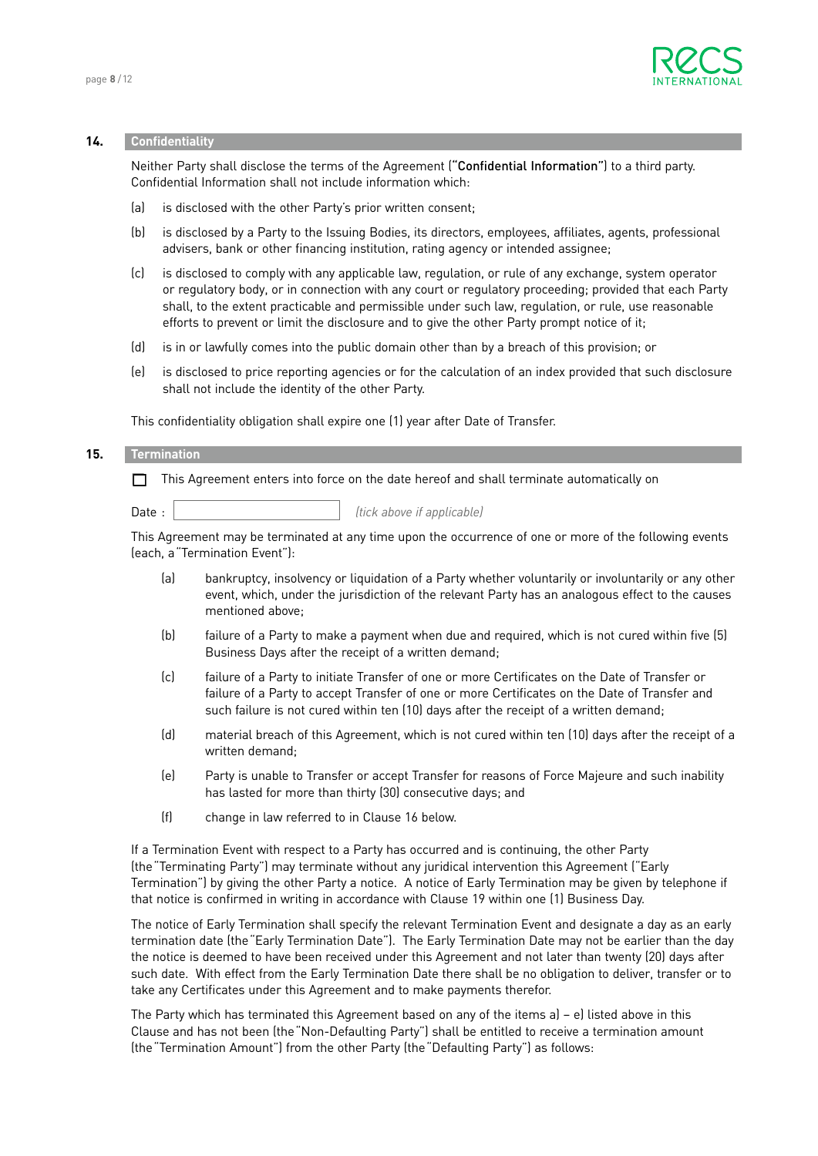

#### **14. Confidentiality**

 Neither Party shall disclose the terms of the Agreement ("Confidential Information") to a third party. Confidential Information shall not include information which:

- (a) is disclosed with the other Party's prior written consent;
- (b) is disclosed by a Party to the Issuing Bodies, its directors, employees, affiliates, agents, professional advisers, bank or other financing institution, rating agency or intended assignee;
- (c) is disclosed to comply with any applicable law, regulation, or rule of any exchange, system operator or regulatory body, or in connection with any court or regulatory proceeding; provided that each Party shall, to the extent practicable and permissible under such law, regulation, or rule, use reasonable efforts to prevent or limit the disclosure and to give the other Party prompt notice of it;
- (d) is in or lawfully comes into the public domain other than by a breach of this provision; or
- (e) is disclosed to price reporting agencies or for the calculation of an index provided that such disclosure shall not include the identity of the other Party.

This confidentiality obligation shall expire one (1) year after Date of Transfer.

#### **15. Termination**

This Agreement enters into force on the date hereof and shall terminate automatically on

Date : **Date :**  $\begin{bmatrix} \text{tick above if applicable} \end{bmatrix}$ 

This Agreement may be terminated at any time upon the occurrence of one or more of the following events (each, a"Termination Event"):

- (a) bankruptcy, insolvency or liquidation of a Party whether voluntarily or involuntarily or any other event, which, under the jurisdiction of the relevant Party has an analogous effect to the causes mentioned above;
- (b) failure of a Party to make a payment when due and required, which is not cured within five (5) Business Days after the receipt of a written demand;
- (c) failure of a Party to initiate Transfer of one or more Certificates on the Date of Transfer or failure of a Party to accept Transfer of one or more Certificates on the Date of Transfer and such failure is not cured within ten (10) days after the receipt of a written demand;
- (d) material breach of this Agreement, which is not cured within ten (10) days after the receipt of a written demand;
- (e) Party is unable to Transfer or accept Transfer for reasons of Force Majeure and such inability has lasted for more than thirty (30) consecutive days; and
- (f) change in law referred to in Clause 16 below.

 If a Termination Event with respect to a Party has occurred and is continuing, the other Party (the"Terminating Party") may terminate without any juridical intervention this Agreement ("Early Termination") by giving the other Party a notice. A notice of Early Termination may be given by telephone if that notice is confirmed in writing in accordance with Clause 19 within one (1) Business Day.

 The notice of Early Termination shall specify the relevant Termination Event and designate a day as an early termination date (the"Early Termination Date"). The Early Termination Date may not be earlier than the day the notice is deemed to have been received under this Agreement and not later than twenty (20) days after such date. With effect from the Early Termination Date there shall be no obligation to deliver, transfer or to take any Certificates under this Agreement and to make payments therefor.

The Party which has terminated this Agreement based on any of the items  $a$ ) – e) listed above in this Clause and has not been (the"Non-Defaulting Party") shall be entitled to receive a termination amount (the"Termination Amount") from the other Party (the"Defaulting Party") as follows: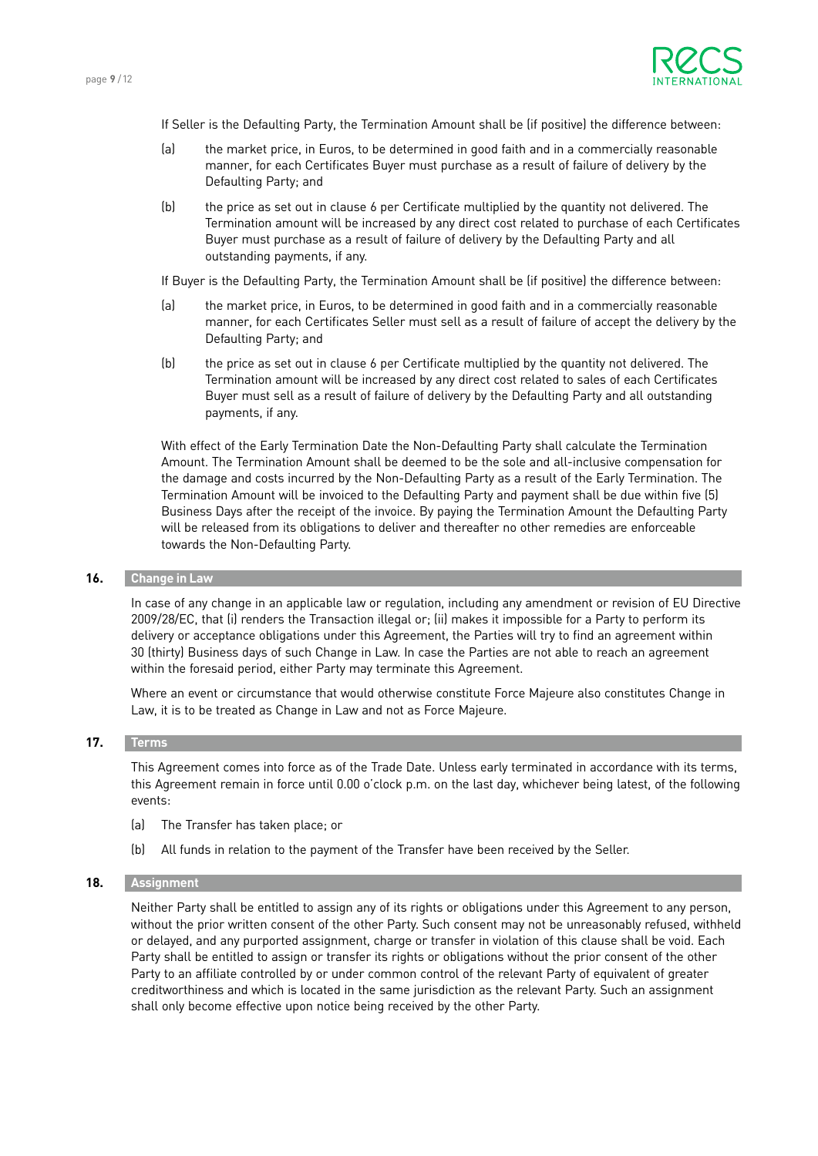

If Seller is the Defaulting Party, the Termination Amount shall be (if positive) the difference between:

- (a) the market price, in Euros, to be determined in good faith and in a commercially reasonable manner, for each Certificates Buyer must purchase as a result of failure of delivery by the Defaulting Party; and
- (b) the price as set out in clause 6 per Certificate multiplied by the quantity not delivered. The Termination amount will be increased by any direct cost related to purchase of each Certificates Buyer must purchase as a result of failure of delivery by the Defaulting Party and all outstanding payments, if any.

If Buyer is the Defaulting Party, the Termination Amount shall be (if positive) the difference between:

- (a) the market price, in Euros, to be determined in good faith and in a commercially reasonable manner, for each Certificates Seller must sell as a result of failure of accept the delivery by the Defaulting Party; and
- (b) the price as set out in clause 6 per Certificate multiplied by the quantity not delivered. The Termination amount will be increased by any direct cost related to sales of each Certificates Buyer must sell as a result of failure of delivery by the Defaulting Party and all outstanding payments, if any.

 With effect of the Early Termination Date the Non-Defaulting Party shall calculate the Termination Amount. The Termination Amount shall be deemed to be the sole and all-inclusive compensation for the damage and costs incurred by the Non-Defaulting Party as a result of the Early Termination. The Termination Amount will be invoiced to the Defaulting Party and payment shall be due within five (5) Business Days after the receipt of the invoice. By paying the Termination Amount the Defaulting Party will be released from its obligations to deliver and thereafter no other remedies are enforceable towards the Non-Defaulting Party.

# **16. Change in Law**

 In case of any change in an applicable law or regulation, including any amendment or revision of EU Directive 2009/28/EC, that (i) renders the Transaction illegal or; (ii) makes it impossible for a Party to perform its delivery or acceptance obligations under this Agreement, the Parties will try to find an agreement within 30 (thirty) Business days of such Change in Law. In case the Parties are not able to reach an agreement within the foresaid period, either Party may terminate this Agreement.

 Where an event or circumstance that would otherwise constitute Force Majeure also constitutes Change in Law, it is to be treated as Change in Law and not as Force Majeure.

#### **17. Terms**

 This Agreement comes into force as of the Trade Date. Unless early terminated in accordance with its terms, this Agreement remain in force until 0.00 o'clock p.m. on the last day, whichever being latest, of the following events:

- (a) The Transfer has taken place; or
- (b) All funds in relation to the payment of the Transfer have been received by the Seller.

# **18. Assignment**

 Neither Party shall be entitled to assign any of its rights or obligations under this Agreement to any person, without the prior written consent of the other Party. Such consent may not be unreasonably refused, withheld or delayed, and any purported assignment, charge or transfer in violation of this clause shall be void. Each Party shall be entitled to assign or transfer its rights or obligations without the prior consent of the other Party to an affiliate controlled by or under common control of the relevant Party of equivalent of greater creditworthiness and which is located in the same jurisdiction as the relevant Party. Such an assignment shall only become effective upon notice being received by the other Party.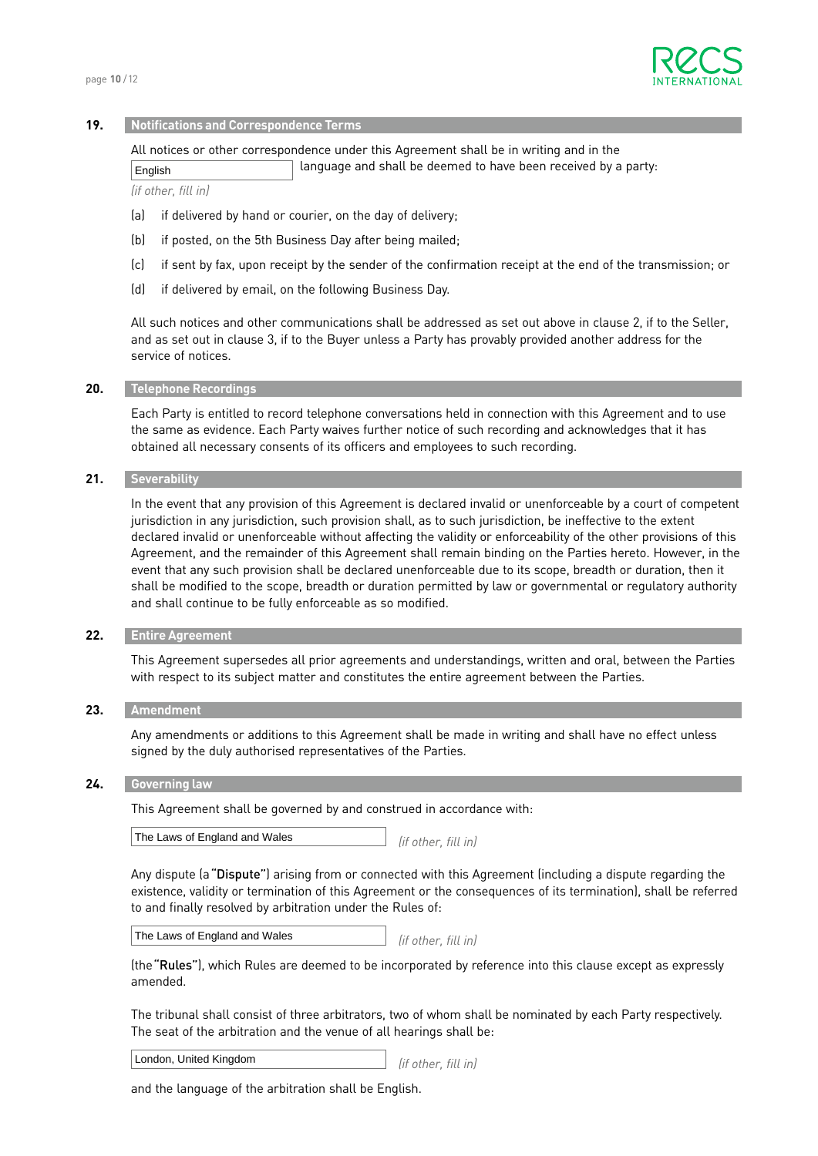

#### **19. Notifications and Correspondence Terms**

All notices or other correspondence under this Agreement shall be in writing and in the

 language and shall be deemed to have been received by a party: English

*(if other, fill in)*

- (a) if delivered by hand or courier, on the day of delivery;
- (b) if posted, on the 5th Business Day after being mailed;
- (c) if sent by fax, upon receipt by the sender of the confirmation receipt at the end of the transmission; or
- (d) if delivered by email, on the following Business Day.

 All such notices and other communications shall be addressed as set out above in clause 2, if to the Seller, and as set out in clause 3, if to the Buyer unless a Party has provably provided another address for the service of notices.

#### **20. Telephone Recordings**

 Each Party is entitled to record telephone conversations held in connection with this Agreement and to use the same as evidence. Each Party waives further notice of such recording and acknowledges that it has obtained all necessary consents of its officers and employees to such recording.

## **21. Severability**

 In the event that any provision of this Agreement is declared invalid or unenforceable by a court of competent jurisdiction in any jurisdiction, such provision shall, as to such jurisdiction, be ineffective to the extent declared invalid or unenforceable without affecting the validity or enforceability of the other provisions of this Agreement, and the remainder of this Agreement shall remain binding on the Parties hereto. However, in the event that any such provision shall be declared unenforceable due to its scope, breadth or duration, then it shall be modified to the scope, breadth or duration permitted by law or governmental or regulatory authority and shall continue to be fully enforceable as so modified.

#### **22. Entire Agreement**

 This Agreement supersedes all prior agreements and understandings, written and oral, between the Parties with respect to its subject matter and constitutes the entire agreement between the Parties.

#### **23. Amendment**

 Any amendments or additions to this Agreement shall be made in writing and shall have no effect unless signed by the duly authorised representatives of the Parties.

#### **24. Governing law**

This Agreement shall be governed by and construed in accordance with:

*(if other, fill in)* The Laws of England and Wales

 Any dispute (a"Dispute") arising from or connected with this Agreement (including a dispute regarding the existence, validity or termination of this Agreement or the consequences of its termination), shall be referred to and finally resolved by arbitration under the Rules of:

*(if other, fill in)* The Laws of England and Wales

 (the"Rules"), which Rules are deemed to be incorporated by reference into this clause except as expressly amended.

 The tribunal shall consist of three arbitrators, two of whom shall be nominated by each Party respectively. The seat of the arbitration and the venue of all hearings shall be:

*(if other, fill in)* London, United Kingdom

and the language of the arbitration shall be English.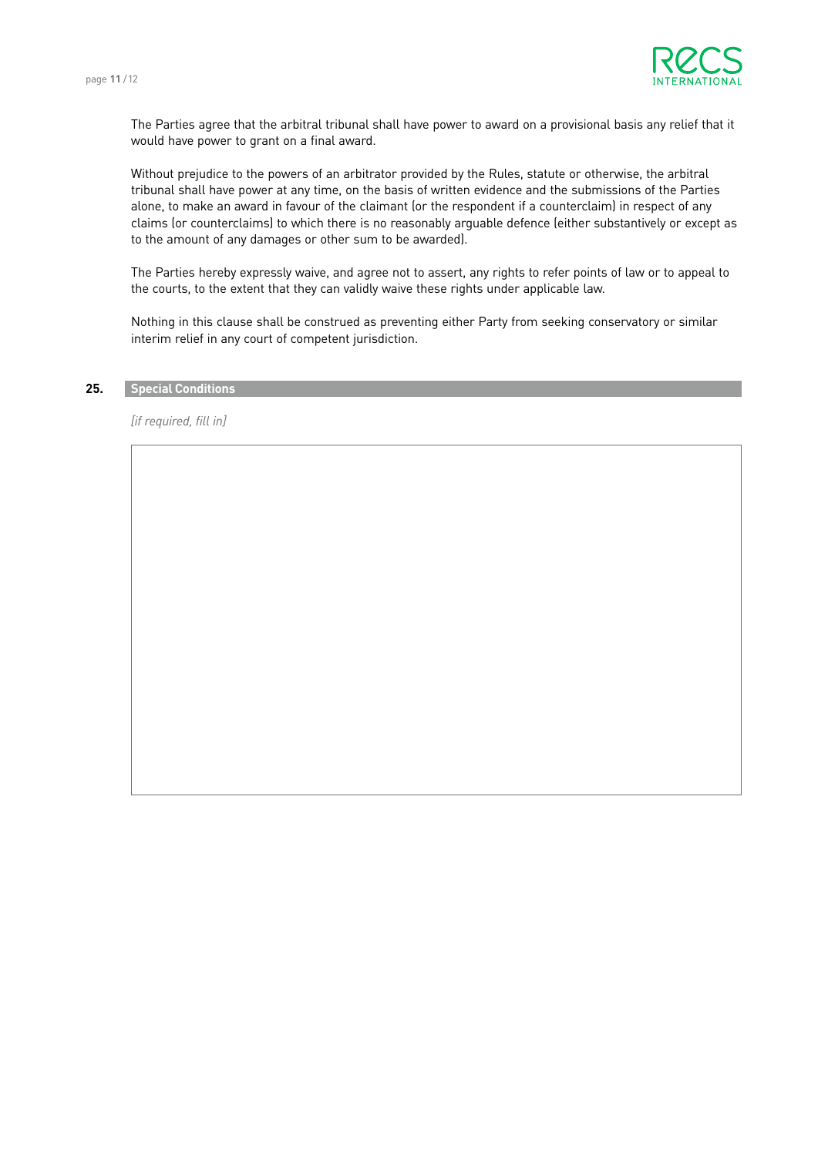

 The Parties agree that the arbitral tribunal shall have power to award on a provisional basis any relief that it would have power to grant on a final award.

 Without prejudice to the powers of an arbitrator provided by the Rules, statute or otherwise, the arbitral tribunal shall have power at any time, on the basis of written evidence and the submissions of the Parties alone, to make an award in favour of the claimant (or the respondent if a counterclaim) in respect of any claims (or counterclaims) to which there is no reasonably arguable defence (either substantively or except as to the amount of any damages or other sum to be awarded).

 The Parties hereby expressly waive, and agree not to assert, any rights to refer points of law or to appeal to the courts, to the extent that they can validly waive these rights under applicable law.

 Nothing in this clause shall be construed as preventing either Party from seeking conservatory or similar interim relief in any court of competent jurisdiction.

# **25. Special Conditions**

*[if required, fill in]*